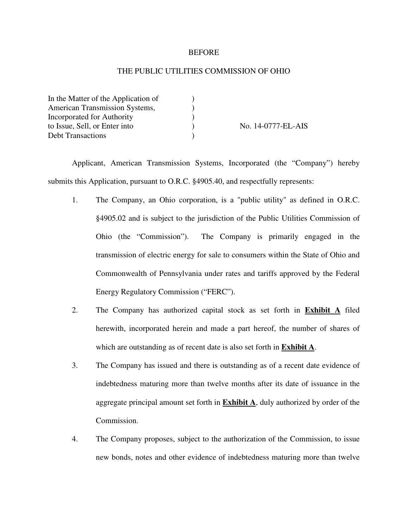### **BEFORE**

## THE PUBLIC UTILITIES COMMISSION OF OHIO

| In the Matter of the Application of |                    |
|-------------------------------------|--------------------|
| American Transmission Systems,      |                    |
| Incorporated for Authority          |                    |
| to Issue, Sell, or Enter into       | No. 14-0777-EL-AIS |
| <b>Debt Transactions</b>            |                    |

 Applicant, American Transmission Systems, Incorporated (the "Company") hereby submits this Application, pursuant to O.R.C. §4905.40, and respectfully represents:

- 1. The Company, an Ohio corporation, is a "public utility" as defined in O.R.C. §4905.02 and is subject to the jurisdiction of the Public Utilities Commission of Ohio (the "Commission"). The Company is primarily engaged in the transmission of electric energy for sale to consumers within the State of Ohio and Commonwealth of Pennsylvania under rates and tariffs approved by the Federal Energy Regulatory Commission ("FERC").
- 2. The Company has authorized capital stock as set forth in **Exhibit A** filed herewith, incorporated herein and made a part hereof, the number of shares of which are outstanding as of recent date is also set forth in **Exhibit A**.
- 3. The Company has issued and there is outstanding as of a recent date evidence of indebtedness maturing more than twelve months after its date of issuance in the aggregate principal amount set forth in **Exhibit A**, duly authorized by order of the Commission.
- 4. The Company proposes, subject to the authorization of the Commission, to issue new bonds, notes and other evidence of indebtedness maturing more than twelve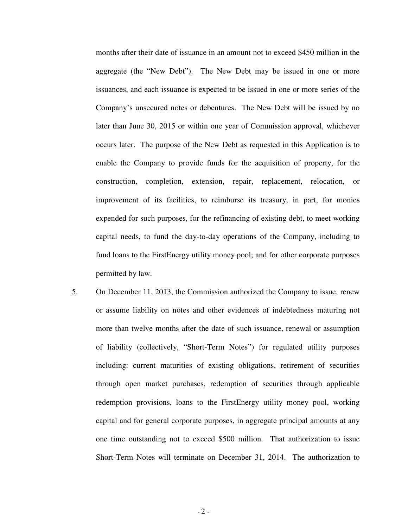months after their date of issuance in an amount not to exceed \$450 million in the aggregate (the "New Debt"). The New Debt may be issued in one or more issuances, and each issuance is expected to be issued in one or more series of the Company's unsecured notes or debentures. The New Debt will be issued by no later than June 30, 2015 or within one year of Commission approval, whichever occurs later. The purpose of the New Debt as requested in this Application is to enable the Company to provide funds for the acquisition of property, for the construction, completion, extension, repair, replacement, relocation, or improvement of its facilities, to reimburse its treasury, in part, for monies expended for such purposes, for the refinancing of existing debt, to meet working capital needs, to fund the day-to-day operations of the Company, including to fund loans to the FirstEnergy utility money pool; and for other corporate purposes permitted by law.

5. On December 11, 2013, the Commission authorized the Company to issue, renew or assume liability on notes and other evidences of indebtedness maturing not more than twelve months after the date of such issuance, renewal or assumption of liability (collectively, "Short-Term Notes") for regulated utility purposes including: current maturities of existing obligations, retirement of securities through open market purchases, redemption of securities through applicable redemption provisions, loans to the FirstEnergy utility money pool, working capital and for general corporate purposes, in aggregate principal amounts at any one time outstanding not to exceed \$500 million. That authorization to issue Short-Term Notes will terminate on December 31, 2014. The authorization to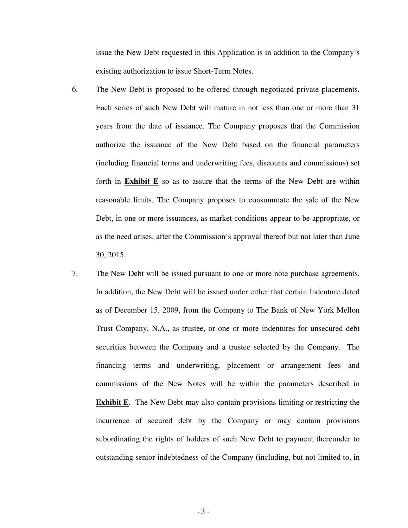issue the New Debt requested in this Application is in addition to the Company's existing authorization to issue Short-Term Notes.

- 6. The New Debt is proposed to be offered through negotiated private placements. Each series of such New Debt will mature in not less than one or more than 31 years from the date of issuance. The Company proposes that the Commission authorize the issuance of the New Debt based on the financial parameters (including financial terms and underwriting fees, discounts and commissions) set forth in **Exhibit E** so as to assure that the terms of the New Debt are within reasonable limits. The Company proposes to consummate the sale of the New Debt, in one or more issuances, as market conditions appear to be appropriate, or as the need arises, after the Commission's approval thereof but not later than June 30, 2015.
- 7. The New Debt will be issued pursuant to one or more note purchase agreements. In addition, the New Debt will be issued under either that certain Indenture dated as of December 15, 2009, from the Company to The Bank of New York Mellon Trust Company, N.A., as trustee, or one or more indentures for unsecured debt securities between the Company and a trustee selected by the Company. The financing terms and underwriting, placement or arrangement fees and commissions of the New Notes will be within the parameters described in **Exhibit E**. The New Debt may also contain provisions limiting or restricting the incurrence of secured debt by the Company or may contain provisions subordinating the rights of holders of such New Debt to payment thereunder to outstanding senior indebtedness of the Company (including, but not limited to, in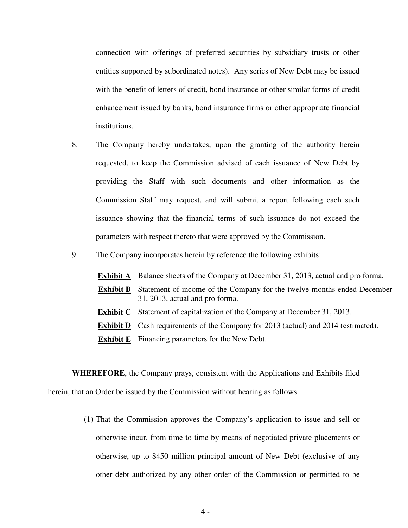connection with offerings of preferred securities by subsidiary trusts or other entities supported by subordinated notes). Any series of New Debt may be issued with the benefit of letters of credit, bond insurance or other similar forms of credit enhancement issued by banks, bond insurance firms or other appropriate financial institutions.

- 8. The Company hereby undertakes, upon the granting of the authority herein requested, to keep the Commission advised of each issuance of New Debt by providing the Staff with such documents and other information as the Commission Staff may request, and will submit a report following each such issuance showing that the financial terms of such issuance do not exceed the parameters with respect thereto that were approved by the Commission.
- 9. The Company incorporates herein by reference the following exhibits:
	- **Exhibit A** Balance sheets of the Company at December 31, 2013, actual and pro forma.
	- **Exhibit B** Statement of income of the Company for the twelve months ended December 31, 2013, actual and pro forma.
	- **Exhibit C** Statement of capitalization of the Company at December 31, 2013.
	- **Exhibit D** Cash requirements of the Company for 2013 (actual) and 2014 (estimated).
	- **Exhibit E** Financing parameters for the New Debt.

**WHEREFORE**, the Company prays, consistent with the Applications and Exhibits filed herein, that an Order be issued by the Commission without hearing as follows:

> (1) That the Commission approves the Company's application to issue and sell or otherwise incur, from time to time by means of negotiated private placements or otherwise, up to \$450 million principal amount of New Debt (exclusive of any other debt authorized by any other order of the Commission or permitted to be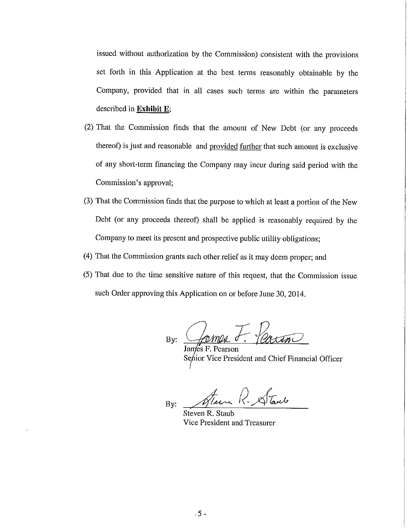issued without authorization by the Commission) consistent with the provisions set forth in this Application at the best terms reasonably obtainable by the Company, provided that in all cases such terms are within the parameters described in Exhibit E;

- (2) That the Commission finds that the amount of New Debt (or any proceeds thereof) is just and reasonable and provided further that such amount is exclusive of any short-term financing the Company may incur during said period with the Commission's approval;
- (3) That the Commission finds that the purpose to which at least a portion of the New Debt (or any proceeds thereof) shall be applied is reasonably required by the Company to meet its present and prospective public utility obligations;
- (4) That the Commission grants such other relief as it may deem proper; and
- (5) That due to the time sensitive nature of this request, that the Commission issue such Order approving this Application on or before June 30, 2014.

By:

James F. Pearson Senior Vice President and Chief Financial Officer

Steen R. Starts By:

Steven R. Staub Vice President and Treasurer

 $-5 -$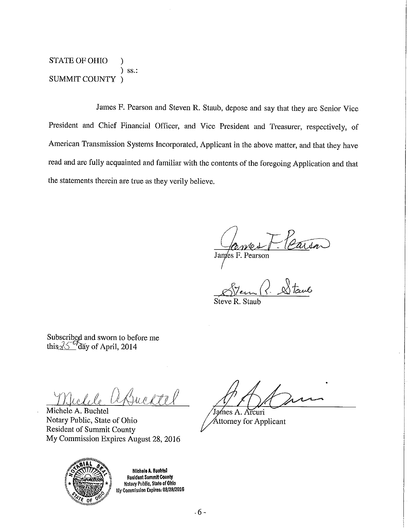**STATE OF OHIO** ſ  $)$  ss.: **SUMMIT COUNTY** 

James F. Pearson and Steven R. Staub, depose and say that they are Senior Vice President and Chief Financial Officer, and Vice President and Treasurer, respectively, of American Transmission Systems Incorporated, Applicant in the above matter, and that they have read and are fully acquainted and familiar with the contents of the foregoing Application and that the statements therein are true as they verily believe.

James F. Pearson

Subscribed and sworn to before me this  $\sqrt[3]{5}$  day of April, 2014

 $\sqrt{1-\sqrt{1-\beta}}$ 

Michele A. Buchtel Notary Public, State of Ohio **Resident of Summit County** My Commission Expires August 28, 2016



Michele A. Buchtol Resident Summit County **Hotary Public, State of Ohio** My Commission Expires: 08/28/2016

James A. Arcuri

Attorney for Applicant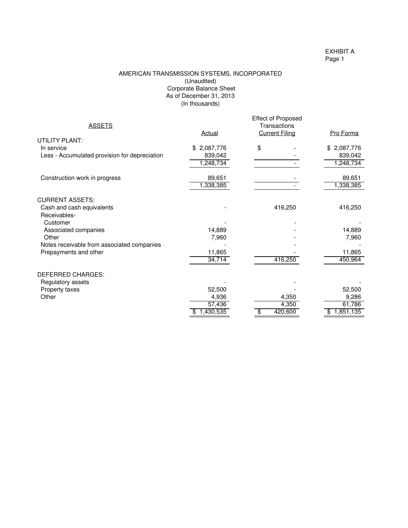EXHIBIT A Page 1

#### AMERICAN TRANSMISSION SYSTEMS, INCORPORATED (Unaudited) Corporate Balance Sheet (In thousands) As of December 31, 2013

|                                               |                 | <b>Effect of Proposed</b> |             |
|-----------------------------------------------|-----------------|---------------------------|-------------|
| <b>ASSETS</b>                                 |                 | Transactions              |             |
|                                               | <b>Actual</b>   | <b>Current Filing</b>     | Pro Forma   |
| UTILITY PLANT:                                |                 |                           |             |
| In service                                    | 2,087,776<br>\$ | \$                        | \$2,087,776 |
| Less - Accumulated provision for depreciation | 839,042         |                           | 839,042     |
|                                               | 1,248,734       |                           | 1,248,734   |
| Construction work in progress                 | 89,651          |                           | 89,651      |
|                                               | 1,338,385       |                           | 1,338,385   |
| <b>CURRENT ASSETS:</b>                        |                 |                           |             |
| Cash and cash equivalents                     |                 | 416,250                   | 416,250     |
| Receivables-                                  |                 |                           |             |
| Customer                                      |                 |                           |             |
| Associated companies                          | 14,889          |                           | 14,889      |
| Other                                         | 7,960           |                           | 7,960       |
| Notes receivable from associated companies    |                 |                           |             |
| Prepayments and other                         | 11,865          |                           | 11,865      |
|                                               | 34,714          | 416,250                   | 450,964     |
| <b>DEFERRED CHARGES:</b>                      |                 |                           |             |
| Regulatory assets                             |                 |                           |             |
| Property taxes                                | 52,500          |                           | 52,500      |
| Other                                         | 4,936           | 4,350                     | 9,286       |
|                                               | 57,436          | 4,350                     | 61,786      |
|                                               | 1,430,535       | 420,600                   | 1,851,135   |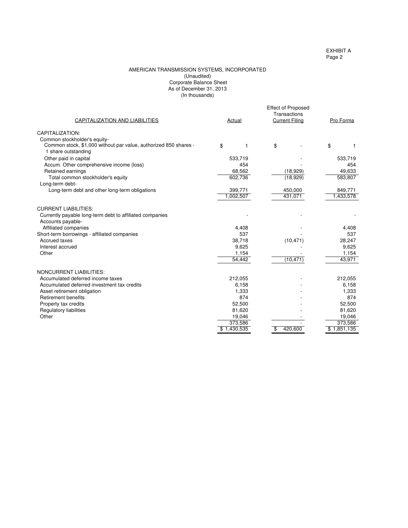#### (In thousands) AMERICAN TRANSMISSION SYSTEMS, INCORPORATED (Unaudited) Corporate Balance Sheet As of December 31, 2013

| CAPITALIZATION AND LIABILITIES                                                          | Actual      | <b>Effect of Proposed</b><br>Transactions<br><b>Current Filing</b> | Pro Forma   |
|-----------------------------------------------------------------------------------------|-------------|--------------------------------------------------------------------|-------------|
| CAPITALIZATION:                                                                         |             |                                                                    |             |
| Common stockholder's equity-                                                            |             |                                                                    |             |
| Common stock, \$1,000 without par value, authorized 850 shares -<br>1 share outstanding | \$          | \$<br>1                                                            | \$<br>1     |
| Other paid in capital                                                                   | 533,719     |                                                                    | 533,719     |
| Accum. Other comprehensive income (loss)                                                | 454         |                                                                    | 454         |
| Retained earnings                                                                       | 68,562      | (18,929)                                                           | 49,633      |
| Total common stockholder's equity                                                       | 602,736     | (18,929)                                                           | 583,807     |
| Long-term debt-                                                                         |             |                                                                    |             |
| Long-term debt and other long-term obligations                                          | 399,771     | 450,000                                                            | 849,771     |
|                                                                                         | 1,002,507   | 431,071                                                            | 1,433,578   |
| <b>CURRENT LIABILITIES:</b>                                                             |             |                                                                    |             |
| Currently payable long-term debt to affiliated companies<br>Accounts payable-           |             |                                                                    |             |
| Affiliated companies                                                                    | 4,408       |                                                                    | 4,408       |
| Short-term borrowings - affiliated companies                                            | 537         |                                                                    | 537         |
| Accrued taxes                                                                           | 38,718      | (10, 471)                                                          | 28,247      |
| Interest accrued                                                                        | 9,625       |                                                                    | 9,625       |
| Other                                                                                   | 1,154       |                                                                    | 1,154       |
|                                                                                         | 54,442      | (10, 471)                                                          | 43,971      |
| <b>NONCURRENT LIABILITIES:</b>                                                          |             |                                                                    |             |
| Accumulated deferred income taxes                                                       | 212,055     |                                                                    | 212,055     |
| Accumulated deferred investment tax credits                                             | 6.158       |                                                                    | 6.158       |
| Asset retirement obligation                                                             | 1,333       |                                                                    | 1,333       |
| <b>Retirement benefits</b>                                                              | 874         |                                                                    | 874         |
| Property tax credits                                                                    | 52,500      |                                                                    | 52,500      |
| <b>Regulatory liabilities</b>                                                           | 81,620      |                                                                    | 81,620      |
| Other                                                                                   | 19,046      |                                                                    | 19,046      |
|                                                                                         | 373,586     |                                                                    | 373,586     |
|                                                                                         | \$1,430,535 | 420,600<br>\$                                                      | \$1,851,135 |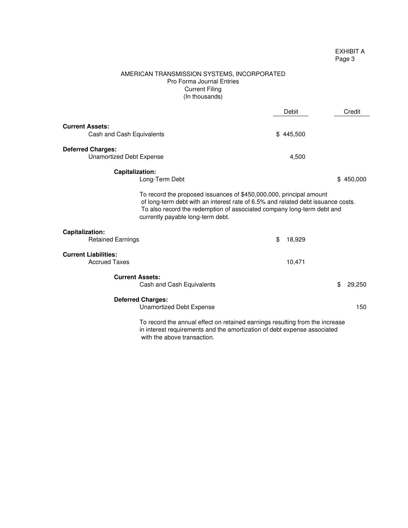### EXHIBIT A Page 3

### AMERICAN TRANSMISSION SYSTEMS, INCORPORATED Pro Forma Journal Entries Current Filing (In thousands)

|                                                                                                                                                                                                                                                                        | Debit        | Credit        |  |
|------------------------------------------------------------------------------------------------------------------------------------------------------------------------------------------------------------------------------------------------------------------------|--------------|---------------|--|
| <b>Current Assets:</b><br>Cash and Cash Equivalents                                                                                                                                                                                                                    | \$445,500    |               |  |
| <b>Deferred Charges:</b><br>Unamortized Debt Expense                                                                                                                                                                                                                   | 4,500        |               |  |
| Capitalization:<br>Long-Term Debt                                                                                                                                                                                                                                      |              | 450,000<br>\$ |  |
| To record the proposed issuances of \$450,000,000, principal amount<br>of long-term debt with an interest rate of 6.5% and related debt issuance costs.<br>To also record the redemption of associated company long-term debt and<br>currently payable long-term debt. |              |               |  |
| Capitalization:<br><b>Retained Earnings</b>                                                                                                                                                                                                                            | \$<br>18,929 |               |  |
| <b>Current Liabilities:</b><br><b>Accrued Taxes</b>                                                                                                                                                                                                                    | 10,471       |               |  |
| <b>Current Assets:</b><br>Cash and Cash Equivalents                                                                                                                                                                                                                    |              | \$<br>29,250  |  |
| <b>Deferred Charges:</b><br>Unamortized Debt Expense                                                                                                                                                                                                                   |              | 150           |  |
| To record the annual effect on retained earnings resulting from the increase<br>in interest requirements and the amortization of debt expense associated                                                                                                               |              |               |  |

in interest requirements and the amortization of debt expense associated with the above transaction.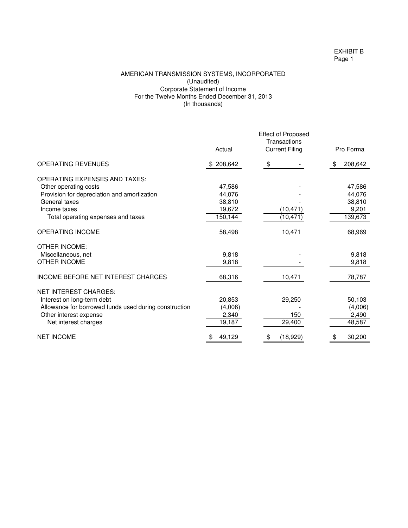### EXHIBIT B Page 1

### AMERICAN TRANSMISSION SYSTEMS, INCORPORATED (Unaudited) Corporate Statement of Income For the Twelve Months Ended December 31, 2013 (In thousands)

|                                                       | Actual       | <b>Effect of Proposed</b><br>Transactions<br><b>Current Filing</b> | Pro Forma     |
|-------------------------------------------------------|--------------|--------------------------------------------------------------------|---------------|
|                                                       |              |                                                                    |               |
| <b>OPERATING REVENUES</b>                             | \$208,642    | \$                                                                 | 208,642<br>\$ |
| <b>OPERATING EXPENSES AND TAXES:</b>                  |              |                                                                    |               |
| Other operating costs                                 | 47,586       |                                                                    | 47,586        |
| Provision for depreciation and amortization           | 44,076       |                                                                    | 44,076        |
| General taxes                                         | 38,810       |                                                                    | 38,810        |
| Income taxes                                          | 19,672       | (10, 471)                                                          | 9,201         |
| Total operating expenses and taxes                    | 150,144      | (10, 471)                                                          | 139,673       |
| OPERATING INCOME                                      | 58,498       | 10,471                                                             | 68,969        |
| <b>OTHER INCOME:</b>                                  |              |                                                                    |               |
| Miscellaneous, net                                    | 9,818        |                                                                    | 9,818         |
| OTHER INCOME                                          | 9,818        |                                                                    | 9,818         |
| <b>INCOME BEFORE NET INTEREST CHARGES</b>             | 68,316       | 10,471                                                             | 78,787        |
| <b>NET INTEREST CHARGES:</b>                          |              |                                                                    |               |
| Interest on long-term debt                            | 20,853       | 29,250                                                             | 50,103        |
| Allowance for borrowed funds used during construction | (4,006)      |                                                                    | (4,006)       |
| Other interest expense                                | 2,340        | 150                                                                | 2,490         |
| Net interest charges                                  | 19,187       | 29,400                                                             | 48,587        |
| <b>NET INCOME</b>                                     | 49,129<br>\$ | (18, 929)<br>\$                                                    | 30,200<br>\$  |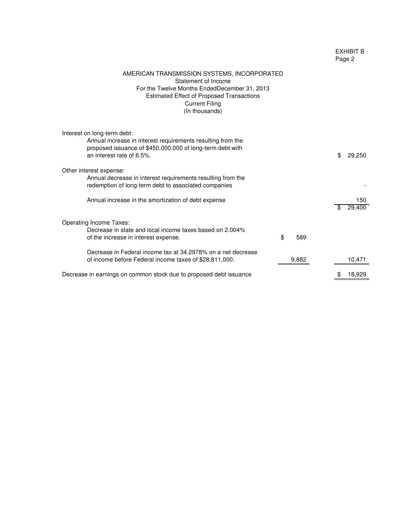## EXHIBIT B Page 2

| AMERICAN TRANSMISSION SYSTEMS, INCORPORATED<br>Statement of Income<br>For the Twelve Months EndedDecember 31, 2013<br><b>Estimated Effect of Proposed Transactions</b><br><b>Current Filing</b><br>(In thousands) |                     |
|-------------------------------------------------------------------------------------------------------------------------------------------------------------------------------------------------------------------|---------------------|
| Interest on long-term debt:<br>Annual increase in interest requirements resulting from the<br>proposed issuance of \$450,000,000 of long-term debt with<br>an interest rate of 6.5%.                              | \$<br>29,250        |
| Other interest expense:<br>Annual decrease in interest requirements resulting from the<br>redemption of long-term debt to associated companies                                                                    |                     |
| Annual increase in the amortization of debt expense                                                                                                                                                               | 150<br>29,400<br>\$ |
| <b>Operating Income Taxes:</b><br>Decrease in state and local income taxes based on 2.004%<br>\$<br>589<br>of the increase in interest expense.                                                                   |                     |
| Decrease in Federal income tax at 34.2978% on a net decrease<br>9,882<br>of income before Federal income taxes of \$28,811,000.                                                                                   | 10,471              |
| Decrease in earnings on common stock due to proposed debt issuance                                                                                                                                                | 18,929              |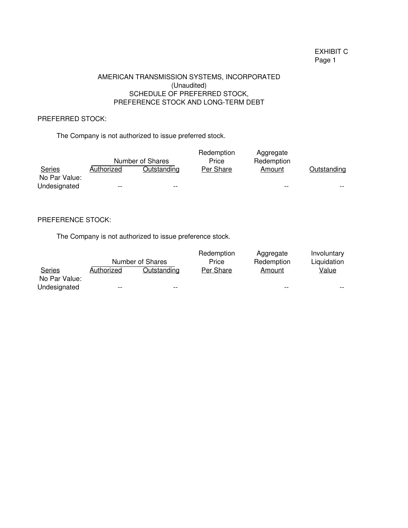# EXHIBIT C Page 1

## (Unaudited) AMERICAN TRANSMISSION SYSTEMS, INCORPORATED SCHEDULE OF PREFERRED STOCK, PREFERENCE STOCK AND LONG-TERM DEBT

# PREFERRED STOCK:

The Company is not authorized to issue preferred stock.

|                                |                   | Number of Shares   | Redemption<br>Price | Aggregate<br>Redemption |             |
|--------------------------------|-------------------|--------------------|---------------------|-------------------------|-------------|
| <b>Series</b><br>No Par Value: | <b>Authorized</b> | <u>Outstanding</u> | Per Share           | Amount                  | Outstanding |
| Undesignated                   | $- -$             | $- -$              |                     | $- -$                   | $- -$       |

## PREFERENCE STOCK:

The Company is not authorized to issue preference stock.

|               |            |                    | Redemption | Aggregate  | Involuntary  |
|---------------|------------|--------------------|------------|------------|--------------|
|               |            | Number of Shares   | Price      | Redemption | Liquidation  |
| <b>Series</b> | Authorized | <u>Outstanding</u> | Per Share  | Amount     | <u>Value</u> |
| No Par Value: |            |                    |            |            |              |
| Undesignated  | $- -$      | $- -$              |            | $- -$      | $- -$        |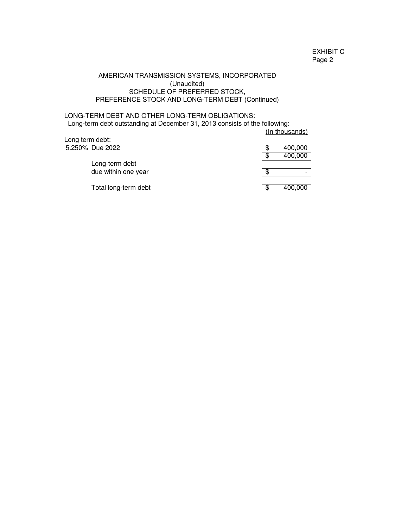## AMERICAN TRANSMISSION SYSTEMS, INCORPORATED (Unaudited) SCHEDULE OF PREFERRED STOCK, PREFERENCE STOCK AND LONG-TERM DEBT (Continued)

## LONG-TERM DEBT AND OTHER LONG-TERM OBLIGATIONS: Long-term debt outstanding at December 31, 2013 consists of the following:

| Long term debt: |                      | (In thousands) |
|-----------------|----------------------|----------------|
|                 | 5.250% Due 2022      | 400,000        |
|                 |                      | 400,000        |
|                 | Long-term debt       |                |
|                 | due within one year  |                |
|                 | Total long-term debt | 400,000        |
|                 |                      |                |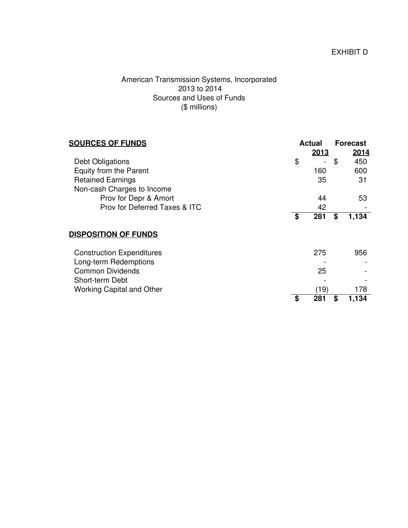# American Transmission Systems, Incorporated 2013 to 2014 Sources and Uses of Funds (\$ millions)

| <b>SOURCES OF FUNDS</b>          | Actual    | <b>Forecast</b> |       |
|----------------------------------|-----------|-----------------|-------|
|                                  | 2013      |                 | 2014  |
| Debt Obligations                 | \$        | \$              | 450   |
| Equity from the Parent           | 160       |                 | 600   |
| <b>Retained Earnings</b>         | 35        |                 | 31    |
| Non-cash Charges to Income       |           |                 |       |
| Prov for Depr & Amort            | 44        |                 | 53    |
| Prov for Deferred Taxes & ITC    | 42        |                 |       |
|                                  | \$<br>281 | \$              | 1,134 |
| <b>DISPOSITION OF FUNDS</b>      |           |                 |       |
| <b>Construction Expenditures</b> | 275       |                 | 956   |
| Long-term Redemptions            |           |                 |       |
| <b>Common Dividends</b>          | 25        |                 |       |
| Short-term Debt                  |           |                 |       |
| <b>Working Capital and Other</b> | (19)      |                 | 178   |
|                                  | \$<br>281 | \$              | 1,134 |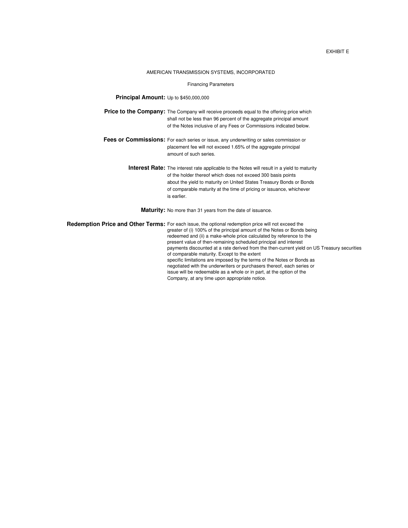#### EXHIBIT E

#### AMERICAN TRANSMISSION SYSTEMS, INCORPORATED

#### Financing Parameters

#### **Principal Amount:** Up to \$450,000,000

**Price to the Company:** The Company will receive proceeds equal to the offering price which shall not be less than 96 percent of the aggregate principal amount of the Notes inclusive of any Fees or Commissions indicated below.

- **Fees or Commissions:** For each series or issue, any underwriting or sales commission or placement fee will not exceed 1.65% of the aggregate principal amount of such series.
	- **Interest Rate:** The interest rate applicable to the Notes will result in a yield to maturity of the holder thereof which does not exceed 300 basis points about the yield to maturity on United States Treasury Bonds or Bonds of comparable maturity at the time of pricing or issuance, whichever is earlier.

**Maturity:** No more than 31 years from the date of issuance.

Redemption Price and Other Terms: For each issue, the optional redemption price will not exceed the greater of (i) 100% of the principal amount of the Notes or Bonds being redeemed and (ii) a make-whole price calculated by reference to the present value of then-remaining scheduled principal and interest payments discounted at a rate derived from the then-current yield on US Treasury securities of comparable maturity. Except to the extent specific limitations are imposed by the terms of the Notes or Bonds as negotiated with the underwriters or purchasers thereof, each series or issue will be redeemable as a whole or in part, at the option of the Company, at any time upon appropriate notice.